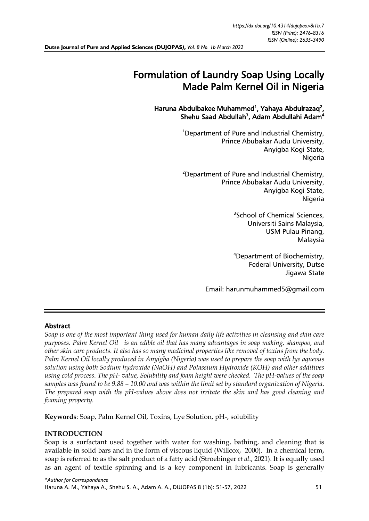# Formulation of Laundry Soap Using Locally Made Palm Kernel Oil in Nigeria

Haruna Abdulbakee Muhammed<sup>1</sup>, Yahaya Abdulrazaq<sup>2</sup>, Shehu Saad Abdullah<sup>3</sup>, Adam Abdullahi Adam<sup>4</sup>

> <sup>1</sup>Department of Pure and Industrial Chemistry, Prince Abubakar Audu University, Anyigba Kogi State, Nigeria

<sup>2</sup>Department of Pure and Industrial Chemistry, Prince Abubakar Audu University, Anyigba Kogi State, Nigeria

> 3 School of Chemical Sciences, Universiti Sains Malaysia, USM Pulau Pinang, Malaysia

> <sup>4</sup>Department of Biochemistry, Federal University, Dutse Jigawa State

Email: [harunmuhammed5@gmail.com](mailto:harunmuhammed5@gmail.com) 

### Abstract

*Soap is one of the most important thing used for human daily life activities in cleansing and skin care purposes. Palm Kernel Oil is an edible oil that has many advantages in soap making, shampoo, and other skin care products. It also has so many medicinal properties like removal of toxins from the body. Palm Kernel Oil locally produced in Anyigba (Nigeria) was used to prepare the soap with lye aqueous solution using both Sodium hydroxide (NaOH) and Potassium Hydroxide (KOH) and other additives using cold process. The pH- value, Solubility and foam height were checked. The pH-values of the soap samples was found to be 9.88 – 10.00 and was within the limit set by standard organization of Nigeria. The prepared soap with the pH-values above does not irritate the skin and has good cleaning and foaming property.*

**Keywords**: Soap, Palm Kernel Oil, Toxins, Lye Solution, pH-, solubility

#### **INTRODUCTION**

Soap is a surfactant used together with water for washing, bathing, and cleaning that is available in solid bars and in the form of viscous liquid (Willcox, 2000). In a chemical term, soap is referred to as the salt product of a fatty acid (Stroebinger *et al*., 2021). It is equally used as an agent of textile spinning and is a key component in lubricants. Soap is generally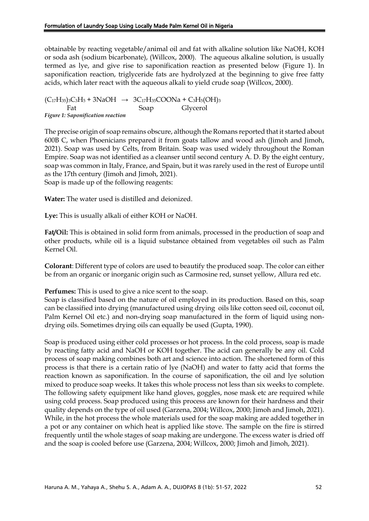obtainable by reacting vegetable/animal oil and fat with alkaline solution like NaOH, KOH or soda ash (sodium bicarbonate), (Willcox, 2000). The aqueous alkaline solution, is usually termed as lye, and give rise to saponification reaction as presented below (Figure 1). In saponification reaction, triglyceride fats are hydrolyzed at the beginning to give free fatty acids, which later react with the aqueous alkali to yield crude soap (Willcox, 2000).

 $(C_{17}H_{35})_{3}C_{3}H_{5} + 3NaOH \rightarrow 3C_{17}H_{35}COONa + C_{3}H_{5}(OH)_{3}$ Fat Soap Glycerol *Figure 1: Saponification reaction* 

The precise origin of soap remains obscure, although the Romans reported that it started about 600B C, when Phoenicians prepared it from goats tallow and wood ash (Jimoh and Jimoh, 2021). Soap was used by Celts, from Britain. Soap was used widely throughout the Roman Empire. Soap was not identified as a cleanser until second century A. D. By the eight century, soap was common in Italy, France, and Spain, but it was rarely used in the rest of Europe until as the 17th century (Jimoh and Jimoh, 2021).

Soap is made up of the following reagents:

**Water:** The water used is distilled and deionized.

**Lye:** This is usually alkali of either KOH or NaOH.

**Fat/Oil:** This is obtained in solid form from animals, processed in the production of soap and other products, while oil is a liquid substance obtained from vegetables oil such as Palm Kernel Oil.

**Colorant**: Different type of colors are used to beautify the produced soap. The color can either be from an organic or inorganic origin such as Carmosine red, sunset yellow, Allura red etc.

#### **Perfumes:** This is used to give a nice scent to the soap.

Soap is classified based on the nature of oil employed in its production. Based on this, soap can be classified into drying (manufactured using drying oils like cotton seed oil, coconut oil, Palm Kernel Oil etc.) and non-drying soap manufactured in the form of liquid using nondrying oils. Sometimes drying oils can equally be used (Gupta, 1990).

Soap is produced using either cold processes or hot process. In the cold process, soap is made by reacting fatty acid and NaOH or KOH together. The acid can generally be any oil. Cold process of soap making combines both art and science into action. The shortened form of this process is that there is a certain ratio of lye (NaOH) and water to fatty acid that forms the reaction known as saponification. In the course of saponification, the oil and lye solution mixed to produce soap weeks. It takes this whole process not less than six weeks to complete. The following safety equipment like hand gloves, goggles, nose mask etc are required while using cold process. Soap produced using this process are known for their hardness and their quality depends on the type of oil used (Garzena, 2004; Willcox, 2000; Jimoh and Jimoh, 2021). While, in the hot process the whole materials used for the soap making are added together in a pot or any container on which heat is applied like stove. The sample on the fire is stirred frequently until the whole stages of soap making are undergone. The excess water is dried off and the soap is cooled before use (Garzena, 2004; Willcox, 2000; Jimoh and Jimoh, 2021).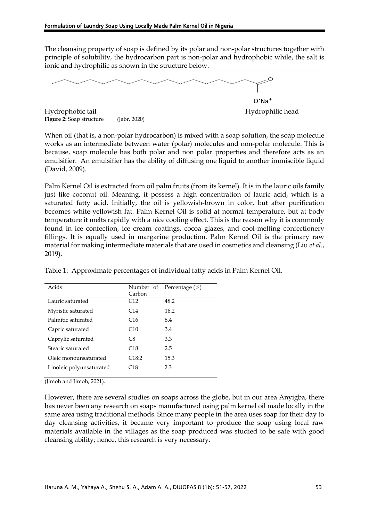The cleansing property of soap is defined by its polar and non-polar structures together with principle of solubility, the hydrocarbon part is non-polar and hydrophobic while, the salt is ionic and hydrophilic as shown in the structure below.

Hydrophobic tail Hydrophilic head **Figure 2:** Soap structure (Jabr, 2020) O -Na <sup>+</sup>

When oil (that is, a non-polar hydrocarbon) is mixed with a soap solution, the soap molecule works as an intermediate between water (polar) molecules and non-polar molecule. This is because, soap molecule has both polar and non polar properties and therefore acts as an emulsifier. An emulsifier has the ability of diffusing one liquid to another immiscible liquid (David, 2009).

Palm Kernel Oil is extracted from oil palm fruits (from its kernel). It is in the lauric oils family just like coconut oil. Meaning, it possess a high concentration of lauric acid, which is a saturated fatty acid. Initially, the oil is yellowish-brown in color, but after purification becomes white-yellowish fat. Palm Kernel Oil is solid at normal temperature, but at body temperature it melts rapidly with a nice cooling effect. This is the reason why it is commonly found in ice confection, ice cream coatings, cocoa glazes, and cool-melting confectionery fillings. It is equally used in margarine production. Palm Kernel Oil is the primary raw material for making intermediate materials that are used in cosmetics and cleansing (Liu *et al*., 2019).

| Acids                    |                 | Number of Percentage (%) |
|--------------------------|-----------------|--------------------------|
|                          | Carbon          |                          |
| Lauric saturated         | C12             | 48.2                     |
| Myristic saturated       | C <sub>14</sub> | 16.2                     |
| Palmitic saturated       | C <sub>16</sub> | 8.4                      |
| Capric saturated         | C10             | 3.4                      |
| Caprylic saturated       | C8              | 3.3                      |
| Stearic saturated        | C18             | 2.5                      |
| Oleic monounsaturated    | C18:2           | 15.3                     |
| Linoleic polyunsaturated | C18             | 2.3                      |
|                          |                 |                          |

Table 1: Approximate percentages of individual fatty acids in Palm Kernel Oil.

(Jimoh and Jimoh, 2021).

However, there are several studies on soaps across the globe, but in our area Anyigba, there has never been any research on soaps manufactured using palm kernel oil made locally in the same area using traditional methods. Since many people in the area uses soap for their day to day cleansing activities, it became very important to produce the soap using local raw materials available in the villages as the soap produced was studied to be safe with good cleansing ability; hence, this research is very necessary.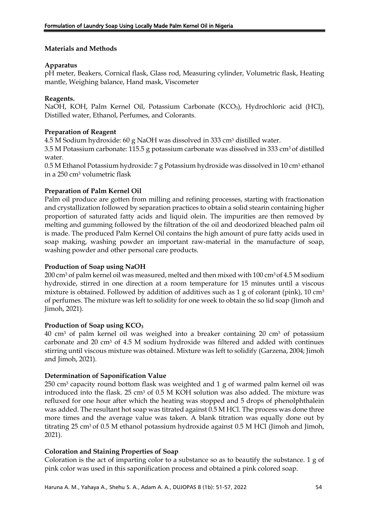### **Materials and Methods**

### **Apparatus**

pH meter, Beakers, Cornical flask, Glass rod, Measuring cylinder, Volumetric flask, Heating mantle, Weighing balance, Hand mask, Viscometer

#### **Reagents.**

NaOH, KOH, Palm Kernel Oil, Potassium Carbonate (KCO<sub>3</sub>), Hydrochloric acid (HCl), Distilled water, Ethanol, Perfumes, and Colorants.

### **Preparation of Reagent**

4.5 M Sodium hydroxide: 60 g NaOH was dissolved in 333 cm<sup>3</sup> distilled water.

3.5 M Potassium carbonate: 115.5 g potassium carbonate was dissolved in 333 cm<sup>3</sup> of distilled water.

0.5 M Ethanol Potassium hydroxide: 7 g Potassium hydroxide was dissolved in 10 cm<sup>3</sup> ethanol in a 250 cm<sup>3</sup> volumetric flask

### **Preparation of Palm Kernel Oil**

Palm oil produce are gotten from milling and refining processes, starting with fractionation and crystallization followed by separation practices to obtain a solid stearin containing higher proportion of saturated fatty acids and liquid olein. The impurities are then removed by melting and gumming followed by the filtration of the oil and deodorized bleached palm oil is made. The produced Palm Kernel Oil contains the high amount of pure fatty acids used in soap making, washing powder an important raw-material in the manufacture of soap, washing powder and other personal care products.

### **Production of Soap using NaOH**

200 cm<sup>3</sup> of palm kernel oil was measured, melted and then mixed with 100 cm<sup>3</sup> of 4.5 M sodium hydroxide, stirred in one direction at a room temperature for 15 minutes until a viscous mixture is obtained. Followed by addition of additives such as 1 g of colorant (pink), 10 cm<sup>3</sup> of perfumes. The mixture was left to solidity for one week to obtain the so lid soap (Jimoh and Jimoh, 2021).

#### **Production of Soap using KCO<sup>3</sup>**

40 cm<sup>3</sup> of palm kernel oil was weighed into a breaker containing 20 cm<sup>3</sup> of potassium carbonate and 20 cm<sup>3</sup> of 4.5 M sodium hydroxide was filtered and added with continues stirring until viscous mixture was obtained. Mixture was left to solidify (Garzena, 2004; Jimoh and Jimoh, 2021).

### **Determination of Saponification Value**

250 cm<sup>3</sup> capacity round bottom flask was weighted and 1 g of warmed palm kernel oil was introduced into the flask. 25 cm<sup>3</sup> of 0.5 M KOH solution was also added. The mixture was refluxed for one hour after which the heating was stopped and 5 drops of phenolphthalein was added. The resultant hot soap was titrated against 0.5 M HCl. The process was done three more times and the average value was taken. A blank titration was equally done out by titrating 25 cm3 of 0.5 M ethanol potassium hydroxide against 0.5 M HCl (Jimoh and Jimoh, 2021).

### **Coloration and Staining Properties of Soap**

Coloration is the act of imparting color to a substance so as to beautify the substance. 1 g of pink color was used in this saponification process and obtained a pink colored soap.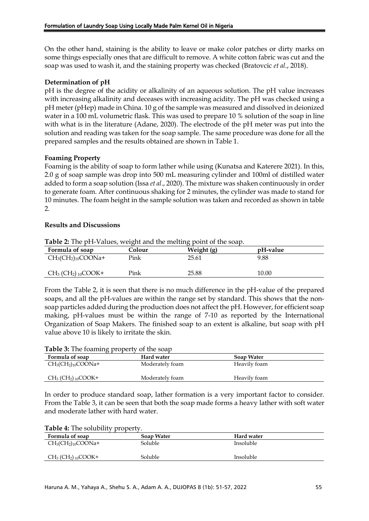On the other hand, staining is the ability to leave or make color patches or dirty marks on some things especially ones that are difficult to remove. A white cotton fabric was cut and the soap was used to wash it, and the staining property was checked (Bratovcic *et al*., 2018).

# **Determination of pH**

pH is the degree of the acidity or alkalinity of an aqueous solution. The pH value increases with increasing alkalinity and deceases with increasing acidity. The pH was checked using a pH meter (pHep) made in China. 10 g of the sample was measured and dissolved in deionized water in a 100 mL volumetric flask. This was used to prepare 10 % solution of the soap in line with what is in the literature (Adane, 2020). The electrode of the pH meter was put into the solution and reading was taken for the soap sample. The same procedure was done for all the prepared samples and the results obtained are shown in Table 1.

# **Foaming Property**

Foaming is the ability of soap to form lather while using (Kunatsa and Katerere 2021). In this, 2.0 g of soap sample was drop into 500 mL measuring cylinder and 100ml of distilled water added to form a soap solution (Issa *et al*., 2020). The mixture was shaken continuously in order to generate foam. After continuous shaking for 2 minutes, the cylinder was made to stand for 10 minutes. The foam height in the sample solution was taken and recorded as shown in table 2.

### **Results and Discussions**

| Formula of soap                               | Colour | Weight (g) | pH-value |  |
|-----------------------------------------------|--------|------------|----------|--|
| $CH3(CH2)10COONa+$                            | Pink   | 25.61      | 9.88     |  |
| $CH_3$ (CH <sub>2</sub> ) <sub>10</sub> COOK+ | Pink   | 25.88      | 10.00    |  |

**Table 2:** The pH-Values, weight and the melting point of the soap.

From the Table 2, it is seen that there is no much difference in the pH-value of the prepared soaps, and all the pH-values are within the range set by standard. This shows that the nonsoap particles added during the production does not affect the pH. However, for efficient soap making, pH-values must be within the range of 7-10 as reported by the International Organization of Soap Makers. The finished soap to an extent is alkaline, but soap with pH value above 10 is likely to irritate the skin.

#### **Table 3:** The foaming property of the soap

| Formula of soap                               | Hard water      | Soap Water   |
|-----------------------------------------------|-----------------|--------------|
| $CH3(CH2)10COONa+$                            | Moderately foam | Heavily foam |
| $CH_3$ (CH <sub>2</sub> ) <sub>10</sub> COOK+ | Moderately foam | Heavily foam |

In order to produce standard soap, lather formation is a very important factor to consider. From the Table 3, it can be seen that both the soap made forms a heavy lather with soft water and moderate lather with hard water.

**Table 4:** The solubility property.

| Formula of soap                               | Soap Water | Hard water |
|-----------------------------------------------|------------|------------|
| $CH3(CH2)10COONa+$                            | Soluble    | Insoluble  |
| $CH_3$ (CH <sub>2</sub> ) <sub>10</sub> COOK+ | Soluble    | Insoluble  |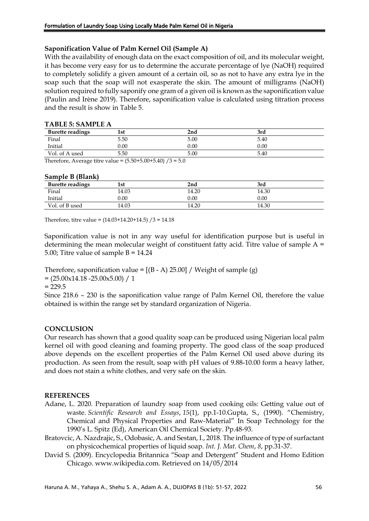# **Saponification Value of Palm Kernel Oil (Sample A)**

With the availability of enough data on the exact composition of oil, and its molecular weight, it has become very easy for us to determine the accurate percentage of lye (NaOH) required to completely solidify a given amount of a certain oil, so as not to have any extra lye in the soap such that the soap will not exasperate the skin. The amount of milligrams (NaOH) solution required to fully saponify one gram of a given oil is known as the saponification value (Paulin and Irène 2019). Therefore, saponification value is calculated using titration process and the result is show in Table 5.

| TABLE 5: SAMITLE A      |      |      |      |
|-------------------------|------|------|------|
| <b>Burette readings</b> | 1st  | 2nd  | 3rd  |
| Final                   | 5.50 | 5.00 | 5.40 |
| Initial                 | 0.00 | 0.00 | 0.00 |
| Vol. of A used          | 5.50 | 5.00 | 5.40 |

# **TABLE 5: SAMPLE A**

Therefore, Average titre value =  $(5.50+5.00+5.40) / 3 = 5.0$ 

| Sample B (Blank) |  |
|------------------|--|
|------------------|--|

| <b>Burette readings</b> | 1st   | 2nd      | 3rd   |  |
|-------------------------|-------|----------|-------|--|
| Final                   | 14.03 | 14.20    | 14.30 |  |
| Initial                 | 0.00  | $0.00\,$ | 0.00  |  |
| Vol. of B used          | 14.03 | 14.20    | 14.30 |  |

Therefore, titre value =  $(14.03+14.20+14.5)$  /3 = 14.18

Saponification value is not in any way useful for identification purpose but is useful in determining the mean molecular weight of constituent fatty acid. Titre value of sample  $A =$ 5.00; Titre value of sample B = 14.24

Therefore, saponification value =  $[(B - A) 25.00] /$  Weight of sample (g)

 $=(25.00x14.18 - 25.00x5.00) / 1$ 

 $= 229.5$ 

Since 218.6 – 230 is the saponification value range of Palm Kernel Oil, therefore the value obtained is within the range set by standard organization of Nigeria.

### **CONCLUSION**

Our research has shown that a good quality soap can be produced using Nigerian local palm kernel oil with good cleaning and foaming property. The good class of the soap produced above depends on the excellent properties of the Palm Kernel Oil used above during its production. As seen from the result, soap with pH values of 9.88-10.00 form a heavy lather, and does not stain a white clothes, and very safe on the skin.

### **REFERENCES**

- Adane, L. 2020. Preparation of laundry soap from used cooking oils: Getting value out of waste. *Scientific Research and Essays*, *15*(1), pp.1-10.Gupta, S., (1990). "Chemistry, Chemical and Physical Properties and Raw-Material" In Soap Technology for the 1990's L. Spitz (Ed), American Oil Chemical Society. Pp.48-93.
- Bratovcic, A. Nazdrajic, S., Odobasic, A. and Sestan, I., 2018. The influence of type of surfactant on physicochemical properties of liquid soap. *Int. J. Mat. Chem*, *8*, pp.31-37.
- David S. (2009). Encyclopedia Britannica "Soap and Detergent" Student and Homo Edition Chicago. www.wikipedia.com. Retrieved on 14/05/2014